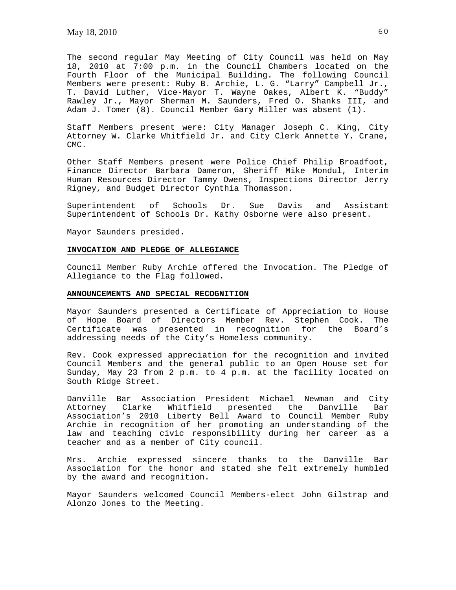The second regular May Meeting of City Council was held on May 18, 2010 at 7:00 p.m. in the Council Chambers located on the Fourth Floor of the Municipal Building. The following Council Members were present: Ruby B. Archie, L. G. "Larry" Campbell Jr., T. David Luther, Vice-Mayor T. Wayne Oakes, Albert K. "Buddy" Rawley Jr., Mayor Sherman M. Saunders, Fred O. Shanks III, and Adam J. Tomer (8). Council Member Gary Miller was absent (1).

Staff Members present were: City Manager Joseph C. King, City Attorney W. Clarke Whitfield Jr. and City Clerk Annette Y. Crane, CMC.

Other Staff Members present were Police Chief Philip Broadfoot, Finance Director Barbara Dameron, Sheriff Mike Mondul, Interim Human Resources Director Tammy Owens, Inspections Director Jerry Rigney, and Budget Director Cynthia Thomasson.

Superintendent of Schools Dr. Sue Davis and Assistant Superintendent of Schools Dr. Kathy Osborne were also present.

Mayor Saunders presided.

#### **INVOCATION AND PLEDGE OF ALLEGIANCE**

Council Member Ruby Archie offered the Invocation. The Pledge of Allegiance to the Flag followed.

### **ANNOUNCEMENTS AND SPECIAL RECOGNITION**

Mayor Saunders presented a Certificate of Appreciation to House of Hope Board of Directors Member Rev. Stephen Cook. The Certificate was presented in recognition for the Board's addressing needs of the City's Homeless community.

Rev. Cook expressed appreciation for the recognition and invited Council Members and the general public to an Open House set for Sunday, May 23 from 2 p.m. to 4 p.m. at the facility located on South Ridge Street.

Danville Bar Association President Michael Newman and City Attorney Clarke Whitfield presented the Danville Bar Association's 2010 Liberty Bell Award to Council Member Ruby Archie in recognition of her promoting an understanding of the law and teaching civic responsibility during her career as a teacher and as a member of City council.

Mrs. Archie expressed sincere thanks to the Danville Bar Association for the honor and stated she felt extremely humbled by the award and recognition.

Mayor Saunders welcomed Council Members-elect John Gilstrap and Alonzo Jones to the Meeting.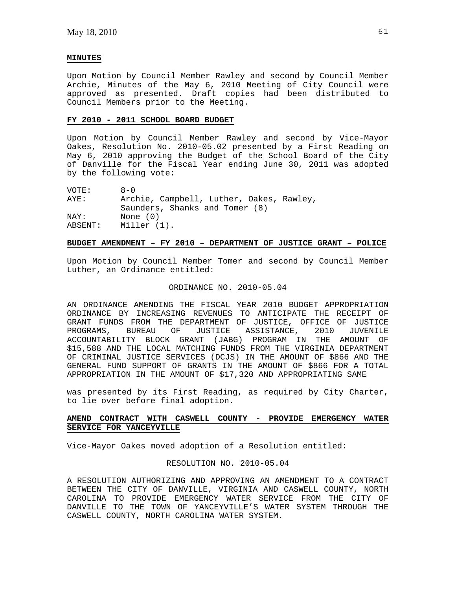### **MINUTES**

Upon Motion by Council Member Rawley and second by Council Member Archie, Minutes of the May 6, 2010 Meeting of City Council were approved as presented. Draft copies had been distributed to Council Members prior to the Meeting.

### **FY 2010 - 2011 SCHOOL BOARD BUDGET**

Upon Motion by Council Member Rawley and second by Vice-Mayor Oakes, Resolution No. 2010-05.02 presented by a First Reading on May 6, 2010 approving the Budget of the School Board of the City of Danville for the Fiscal Year ending June 30, 2011 was adopted by the following vote:

| VOTE:   | $R - N$                                  |
|---------|------------------------------------------|
| AYE:    | Archie, Campbell, Luther, Oakes, Rawley, |
|         | Saunders, Shanks and Tomer (8)           |
| NAY:    | None $(0)$                               |
| ABSENT: | Miller (1).                              |

# **BUDGET AMENDMENT – FY 2010 – DEPARTMENT OF JUSTICE GRANT – POLICE**

Upon Motion by Council Member Tomer and second by Council Member Luther, an Ordinance entitled:

# ORDINANCE NO. 2010-05.04

AN ORDINANCE AMENDING THE FISCAL YEAR 2010 BUDGET APPROPRIATION ORDINANCE BY INCREASING REVENUES TO ANTICIPATE THE RECEIPT OF GRANT FUNDS FROM THE DEPARTMENT OF JUSTICE, OFFICE OF JUSTICE<br>PROGRAMS, BUREAU OF JUSTICE ASSISTANCE, 2010 JUVENILE PROGRAMS, BUREAU OF ACCOUNTABILITY BLOCK GRANT (JABG) PROGRAM IN THE AMOUNT OF \$15,588 AND THE LOCAL MATCHING FUNDS FROM THE VIRGINIA DEPARTMENT OF CRIMINAL JUSTICE SERVICES (DCJS) IN THE AMOUNT OF \$866 AND THE GENERAL FUND SUPPORT OF GRANTS IN THE AMOUNT OF \$866 FOR A TOTAL APPROPRIATION IN THE AMOUNT OF \$17,320 AND APPROPRIATING SAME

was presented by its First Reading, as required by City Charter, to lie over before final adoption.

# **AMEND CONTRACT WITH CASWELL COUNTY - PROVIDE EMERGENCY WATER SERVICE FOR YANCEYVILLE**

Vice-Mayor Oakes moved adoption of a Resolution entitled:

# RESOLUTION NO. 2010-05.04

A RESOLUTION AUTHORIZING AND APPROVING AN AMENDMENT TO A CONTRACT BETWEEN THE CITY OF DANVILLE, VIRGINIA AND CASWELL COUNTY, NORTH CAROLINA TO PROVIDE EMERGENCY WATER SERVICE FROM THE CITY OF DANVILLE TO THE TOWN OF YANCEYVILLE'S WATER SYSTEM THROUGH THE CASWELL COUNTY, NORTH CAROLINA WATER SYSTEM.